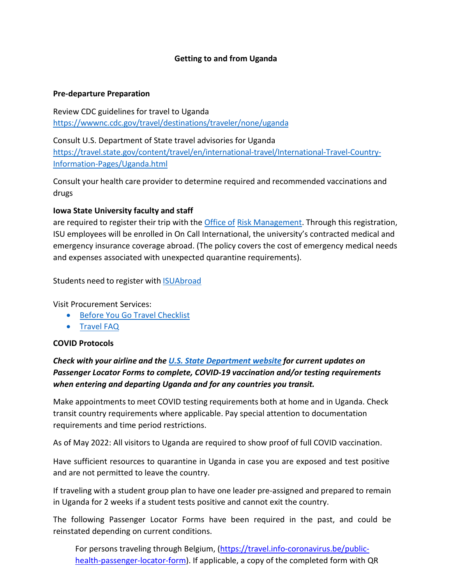#### **Getting to and from Uganda**

#### **Pre-departure Preparation**

Review CDC guidelines for travel to Uganda <https://wwwnc.cdc.gov/travel/destinations/traveler/none/uganda>

Consult U.S. Department of State travel advisories for Uganda [https://travel.state.gov/content/travel/en/international-travel/International-Travel-Country-](https://travel.state.gov/content/travel/en/international-travel/International-Travel-Country-Information-Pages/Uganda.html)[Information-Pages/Uganda.html](https://travel.state.gov/content/travel/en/international-travel/International-Travel-Country-Information-Pages/Uganda.html)

Consult your health care provider to determine required and recommended vaccinations and drugs

#### **Iowa State University faculty and staff**

are required to register their trip with the [Office](https://www.riskmanagement.iastate.edu/travel/international) of [Risk Management.](https://www.riskmanagement.iastate.edu/travel/international) Through this registration, ISU employees will be enrolled in On Call International, the university's contracted medical and emergency insurance coverage abroad. (The policy covers the cost of emergency medical needs and expenses associated with unexpected quarantine requirements).

Students need to register with **[ISUAbroad](https://isuabroad.iastate.edu/)** 

Visit Procurement Services:

- [Before You Go Travel Checklist](https://www.procurement.iastate.edu/travel)
- [Travel FAQ](https://www.procurement.iastate.edu/travel/travel-faq)

#### **COVID Protocols**

# *Check with your airline and the U.S. State [Department](https://travel.state.gov/content/travel/en/international-travel/International-Travel-Country-Information-Pages/Uganda.html) website for current updates on Passenger Locator Forms to complete, COVID-19 vaccination and/or testing requirements when entering and departing Uganda and for any countries you transit.*

Make appointments to meet COVID testing requirements both at home and in Uganda. Check transit country requirements where applicable. Pay special attention to documentation requirements and time period restrictions.

As of May 2022: All visitors to Uganda are required to show proof of full COVID vaccination.

Have sufficient resources to quarantine in Uganda in case you are exposed and test positive and are not permitted to leave the country.

If traveling with a student group plan to have one leader pre-assigned and prepared to remain in Uganda for 2 weeks if a student tests positive and cannot exit the country.

The following Passenger Locator Forms have been required in the past, and could be reinstated depending on current conditions.

For persons traveling through Belgium, [\(https://travel.info-coronavirus.be/public](https://travel.info-coronavirus.be/public-health-passenger-locator-form)[health-passenger-locator-form\)](https://travel.info-coronavirus.be/public-health-passenger-locator-form). If applicable, a copy of the completed form with QR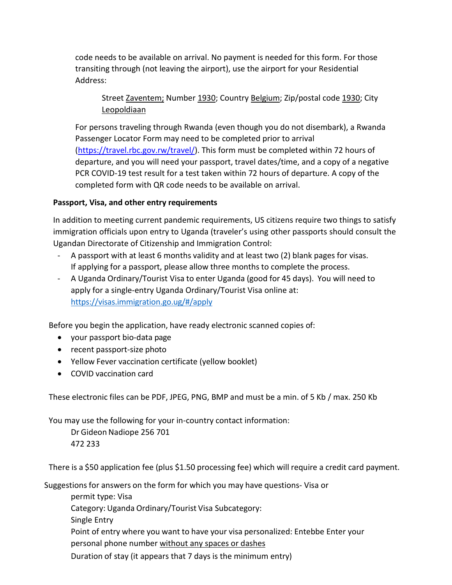code needs to be available on arrival. No payment is needed for this form. For those transiting through (not leaving the airport), use the airport for your Residential Address:

Street Zaventem; Number 1930; Country Belgium; Zip/postal code 1930; City Leopoldiaan

For persons traveling through Rwanda (even though you do not disembark), a Rwanda Passenger Locator Form may need to be completed prior to arrival [\(https://travel.rbc.gov.rw/travel/\)](https://travel.rbc.gov.rw/travel/). This form must be completed within 72 hours of departure, and you will need your passport, travel dates/time, and a copy of a negative PCR COVID-19 test result for a test taken within 72 hours of departure. A copy of the completed form with QR code needs to be available on arrival.

## **Passport, Visa, and other entry requirements**

In addition to meeting current pandemic requirements, US citizens require two things to satisfy immigration officials upon entry to Uganda (traveler's using other passports should consult the Ugandan Directorate of Citizenship and Immigration Control:

- A passport with at least 6 months validity and at least two (2) blank pages for visas. If applying for a passport, please allow three months to complete the process.
- A Uganda Ordinary/Tourist Visa to enter Uganda (good for 45 days). You will need to apply for a single-entry Uganda Ordinary/Tourist Visa online at: [https://visas.immigration.go.ug/#/apply](https://visas.immigration.go.ug/%23/apply)

Before you begin the application, have ready electronic scanned copies of:

- your passport bio-data page
- recent passport-size photo
- Yellow Fever vaccination certificate (yellow booklet)
- COVID vaccination card

These electronic files can be PDF, JPEG, PNG, BMP and must be a min. of 5 Kb / max. 250 Kb

You may use the following for your in-country contact information:

Dr Gideon Nadiope 256 701 472 233

There is a \$50 application fee (plus \$1.50 processing fee) which will require a credit card payment.

Suggestions for answers on the form for which you may have questions- Visa or

permit type: Visa Category: Uganda Ordinary/Tourist Visa Subcategory: Single Entry Point of entry where you want to have your visa personalized: Entebbe Enter your personal phone number without any spaces or dashes Duration of stay (it appears that 7 days is the minimum entry)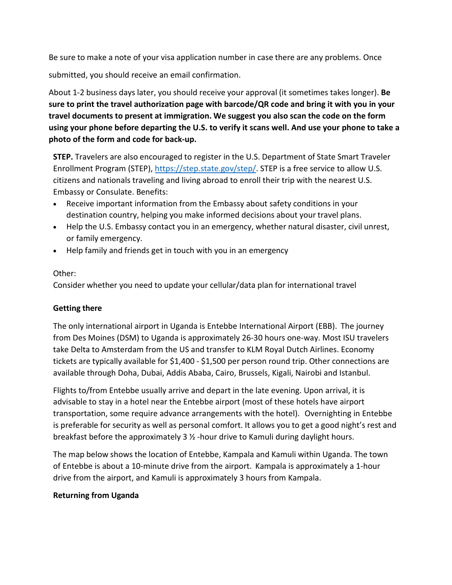Be sure to make a note of your visa application number in case there are any problems. Once

submitted, you should receive an email confirmation.

About 1-2 business days later, you should receive your approval (it sometimes takes longer). **Be sure to print the travel authorization page with barcode/QR code and bring it with you in your travel documents to present at immigration. We suggest you also scan the code on the form using your phone before departing the U.S. to verify it scans well. And use your phone to take a photo of the form and code for back-up.**

**STEP.** Travelers are also encouraged to register in the U.S. Department of State Smart Traveler Enrollment Program (STEP), [https://step.state.gov/step/.](https://step.state.gov/step/) STEP is a free service to allow U.S. citizens and nationals traveling and living abroad to enroll their trip with the nearest U.S. Embassy or Consulate. Benefits:

- Receive important information from the Embassy about safety conditions in your destination country, helping you make informed decisions about your travel plans.
- Help the U.S. Embassy contact you in an emergency, whether natural disaster, civil unrest, or family emergency.
- Help family and friends get in touch with you in an emergency

## Other:

Consider whether you need to update your cellular/data plan for international travel

## **Getting there**

The only international airport in Uganda is Entebbe International Airport (EBB). The journey from Des Moines (DSM) to Uganda is approximately 26-30 hours one-way. Most ISU travelers take Delta to Amsterdam from the US and transfer to KLM Royal Dutch Airlines. Economy tickets are typically available for \$1,400 - \$1,500 per person round trip. Other connections are available through Doha, Dubai, Addis Ababa, Cairo, Brussels, Kigali, Nairobi and Istanbul.

Flights to/from Entebbe usually arrive and depart in the late evening. Upon arrival, it is advisable to stay in a hotel near the Entebbe airport (most of these hotels have airport transportation, some require advance arrangements with the hotel). Overnighting in Entebbe is preferable for security as well as personal comfort. It allows you to get a good night's rest and breakfast before the approximately 3 ½ -hour drive to Kamuli during daylight hours.

The map below shows the location of Entebbe, Kampala and Kamuli within Uganda. The town of Entebbe is about a 10-minute drive from the airport. Kampala is approximately a 1-hour drive from the airport, and Kamuli is approximately 3 hours from Kampala.

## **Returning from Uganda**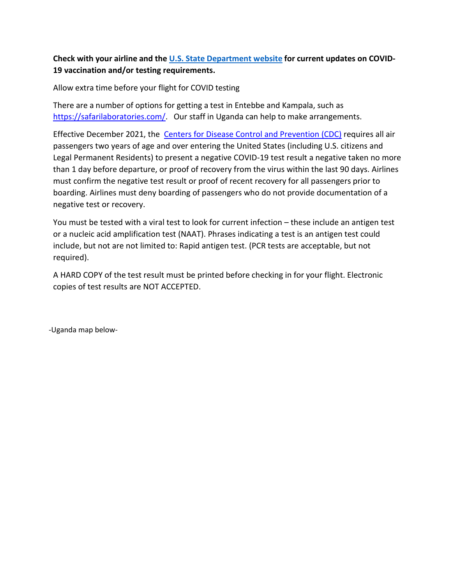# **Check with your airline and the U.S. State [Department](https://travel.state.gov/content/travel/en/international-travel/International-Travel-Country-Information-Pages/Uganda.html) website for current updates on COVID-19 vaccination and/or testing requirements.**

Allow extra time before your flight for COVID testing

There are a number of options for getting a test in Entebbe and Kampala, such as [https://safarilaboratories.com/.](https://safarilaboratories.com/) Our staff in Uganda can help to make arrangements.

Effective December 2021, the  [Centers for Disease Control and Prevention \(CDC\)](https://travel.state.gov/content/travel/en/international-travel/before-you-go/covid-19_testing_required_US_Entry.html#ExternalPopup) requires all air passengers two years of age and over entering the United States (including U.S. citizens and Legal Permanent Residents) to present a negative COVID-19 test result a negative taken no more than 1 day before departure, or proof of recovery from the virus within the last 90 days. Airlines must confirm the negative test result or proof of recent recovery for all passengers prior to boarding. Airlines must deny boarding of passengers who do not provide documentation of a negative test or recovery.

You must be tested with a viral test to look for current infection – these include an antigen test or a nucleic acid amplification test (NAAT). Phrases indicating a test is an antigen test could include, but not are not limited to: Rapid antigen test. (PCR tests are acceptable, but not required).

A HARD COPY of the test result must be printed before checking in for your flight. Electronic copies of test results are NOT ACCEPTED.

-Uganda map below-